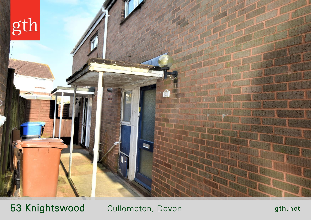

53 Knightswood Cullompton, Devon

gth.net